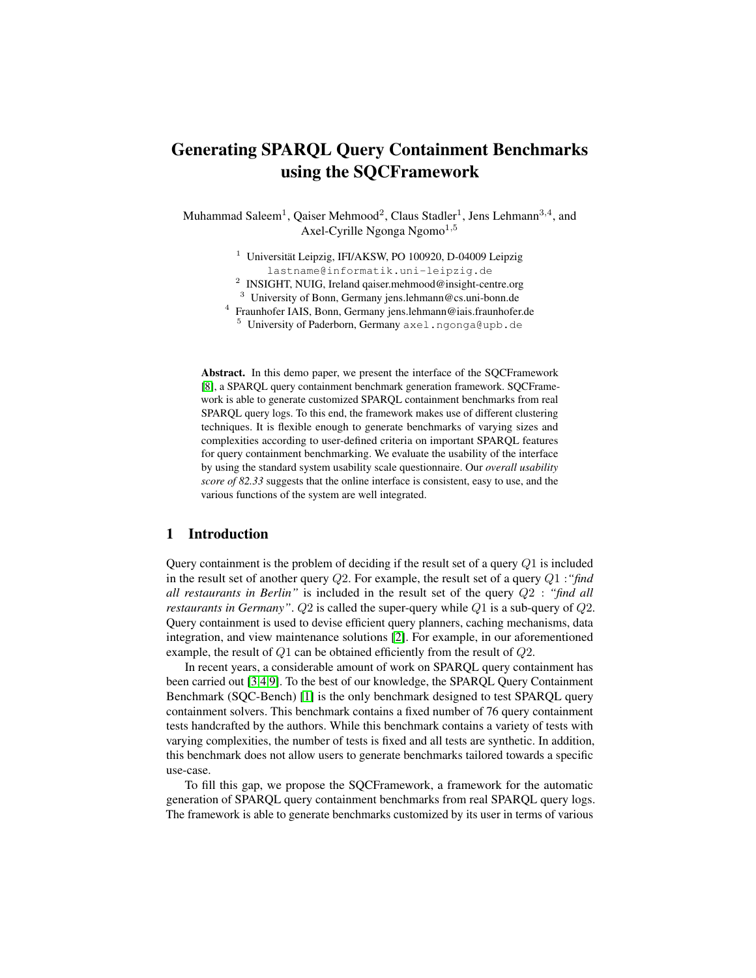# Generating SPARQL Query Containment Benchmarks using the SQCFramework

Muhammad Saleem $^1$ , Qaiser Mehmood $^2$ , Claus Stadler $^1$ , Jens Lehmann $^{3,4}$ , and Axel-Cyrille Ngonga Ngomo<sup>1,5</sup>

> $1$  Universität Leipzig, IFI/AKSW, PO 100920, D-04009 Leipzig lastname@informatik.uni-leipzig.de

> <sup>2</sup> INSIGHT, NUIG, Ireland qaiser.mehmood@insight-centre.org

<sup>3</sup> University of Bonn, Germany jens.lehmann@cs.uni-bonn.de

4 Fraunhofer IAIS, Bonn, Germany jens.lehmann@iais.fraunhofer.de

<sup>5</sup> University of Paderborn, Germany axel.ngonga@upb.de

Abstract. In this demo paper, we present the interface of the SQCFramework [\[8\]](#page-3-0), a SPARQL query containment benchmark generation framework. SQCFramework is able to generate customized SPARQL containment benchmarks from real SPARQL query logs. To this end, the framework makes use of different clustering techniques. It is flexible enough to generate benchmarks of varying sizes and complexities according to user-defined criteria on important SPARQL features for query containment benchmarking. We evaluate the usability of the interface by using the standard system usability scale questionnaire. Our *overall usability score of 82.33* suggests that the online interface is consistent, easy to use, and the various functions of the system are well integrated.

#### 1 Introduction

Query containment is the problem of deciding if the result set of a query  $Q_1$  is included in the result set of another query Q2. For example, the result set of a query Q1 :*"find all restaurants in Berlin"* is included in the result set of the query Q2 : *"find all restaurants in Germany"*. Q2 is called the super-query while Q1 is a sub-query of Q2. Query containment is used to devise efficient query planners, caching mechanisms, data integration, and view maintenance solutions [\[2\]](#page-3-1). For example, in our aforementioned example, the result of Q1 can be obtained efficiently from the result of Q2.

In recent years, a considerable amount of work on SPARQL query containment has been carried out [\[3](#page-3-2)[,4](#page-3-3)[,9\]](#page-3-4). To the best of our knowledge, the SPARQL Query Containment Benchmark (SQC-Bench) [\[1\]](#page-3-5) is the only benchmark designed to test SPARQL query containment solvers. This benchmark contains a fixed number of 76 query containment tests handcrafted by the authors. While this benchmark contains a variety of tests with varying complexities, the number of tests is fixed and all tests are synthetic. In addition, this benchmark does not allow users to generate benchmarks tailored towards a specific use-case.

To fill this gap, we propose the SQCFramework, a framework for the automatic generation of SPARQL query containment benchmarks from real SPARQL query logs. The framework is able to generate benchmarks customized by its user in terms of various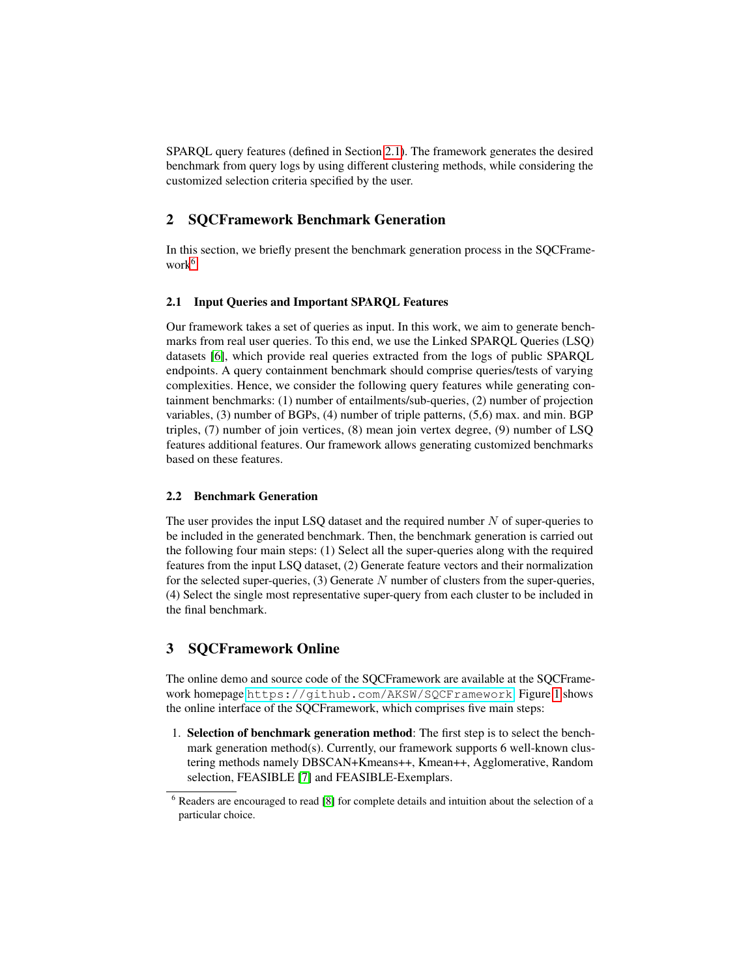SPARQL query features (defined in Section [2.1\)](#page-1-0). The framework generates the desired benchmark from query logs by using different clustering methods, while considering the customized selection criteria specified by the user.

## 2 SQCFramework Benchmark Generation

In this section, we briefly present the benchmark generation process in the SQCFrame-work<sup>[6](#page-1-1)</sup>.

#### <span id="page-1-0"></span>2.1 Input Queries and Important SPARQL Features

Our framework takes a set of queries as input. In this work, we aim to generate benchmarks from real user queries. To this end, we use the Linked SPARQL Queries (LSQ) datasets [\[6\]](#page-3-6), which provide real queries extracted from the logs of public SPARQL endpoints. A query containment benchmark should comprise queries/tests of varying complexities. Hence, we consider the following query features while generating containment benchmarks: (1) number of entailments/sub-queries, (2) number of projection variables, (3) number of BGPs, (4) number of triple patterns, (5,6) max. and min. BGP triples, (7) number of join vertices, (8) mean join vertex degree, (9) number of LSQ features additional features. Our framework allows generating customized benchmarks based on these features.

#### 2.2 Benchmark Generation

The user provides the input LSQ dataset and the required number  $N$  of super-queries to be included in the generated benchmark. Then, the benchmark generation is carried out the following four main steps: (1) Select all the super-queries along with the required features from the input LSQ dataset, (2) Generate feature vectors and their normalization for the selected super-queries,  $(3)$  Generate N number of clusters from the super-queries, (4) Select the single most representative super-query from each cluster to be included in the final benchmark.

## 3 SQCFramework Online

The online demo and source code of the SQCFramework are available at the SQCFramework homepage <https://github.com/AKSW/SQCFramework>. Figure [1](#page-2-0) shows the online interface of the SQCFramework, which comprises five main steps:

1. Selection of benchmark generation method: The first step is to select the benchmark generation method(s). Currently, our framework supports 6 well-known clustering methods namely DBSCAN+Kmeans++, Kmean++, Agglomerative, Random selection, FEASIBLE [\[7\]](#page-3-7) and FEASIBLE-Exemplars.

<span id="page-1-1"></span><sup>6</sup> Readers are encouraged to read [\[8\]](#page-3-0) for complete details and intuition about the selection of a particular choice.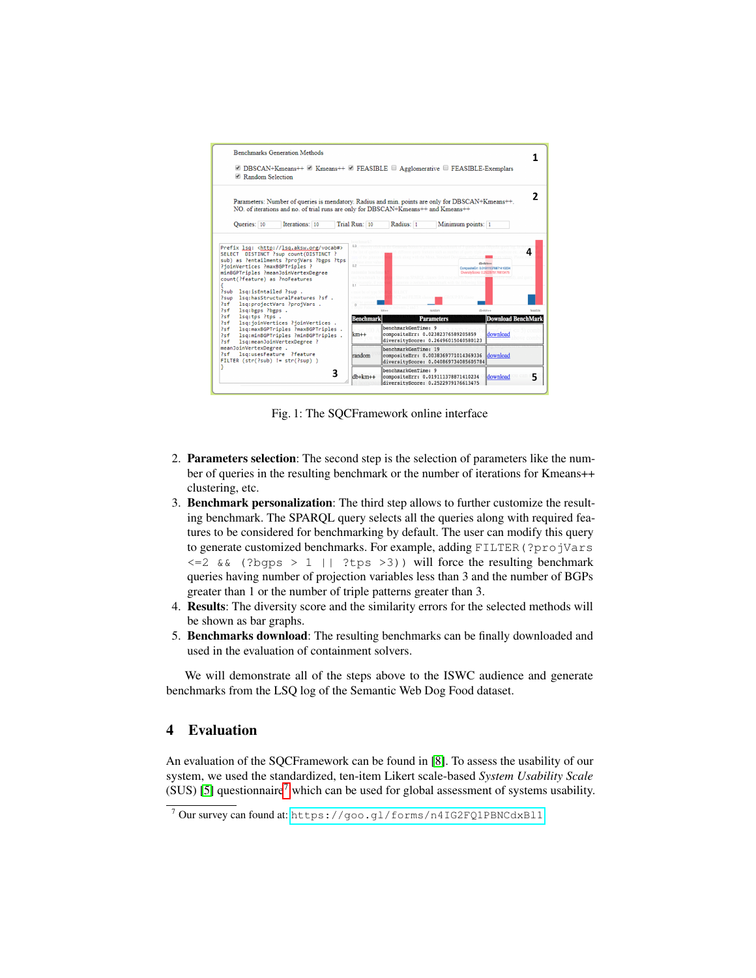<span id="page-2-0"></span>

Fig. 1: The SQCFramework online interface

- 2. Parameters selection: The second step is the selection of parameters like the number of queries in the resulting benchmark or the number of iterations for Kmeans++ clustering, etc.
- 3. Benchmark personalization: The third step allows to further customize the resulting benchmark. The SPARQL query selects all the queries along with required features to be considered for benchmarking by default. The user can modify this query to generate customized benchmarks. For example, adding FILTER(?projVars  $\leq$  2 && (?bgps > 1 || ?tps > 3)) will force the resulting benchmark queries having number of projection variables less than 3 and the number of BGPs greater than 1 or the number of triple patterns greater than 3.
- 4. Results: The diversity score and the similarity errors for the selected methods will be shown as bar graphs.
- 5. Benchmarks download: The resulting benchmarks can be finally downloaded and used in the evaluation of containment solvers.

We will demonstrate all of the steps above to the ISWC audience and generate benchmarks from the LSQ log of the Semantic Web Dog Food dataset.

## 4 Evaluation

An evaluation of the SQCFramework can be found in [\[8\]](#page-3-0). To assess the usability of our system, we used the standardized, ten-item Likert scale-based *System Usability Scale*  $(SUS)$  [\[5\]](#page-3-8) questionnaire<sup>[7](#page-2-1)</sup> which can be used for global assessment of systems usability.

<span id="page-2-1"></span><sup>7</sup> Our survey can found at: <https://goo.gl/forms/n4IG2FQ1PBNCdxBl1>